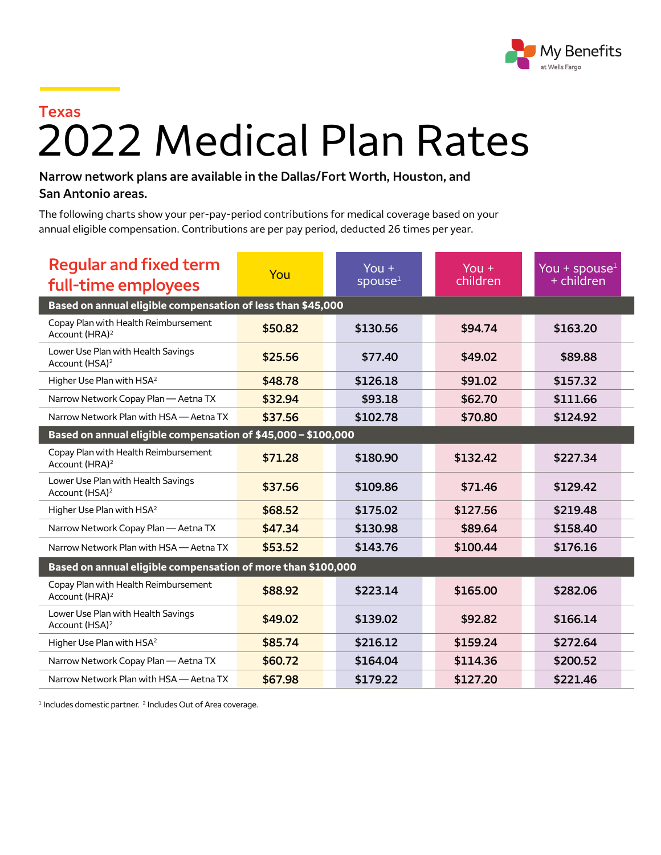

## 2022 Medical Plan Rates **Texas**

## **Narrow network plans are available in the Dallas/Fort Worth, Houston, and San Antonio areas.**

The following charts show your per-pay-period contributions for medical coverage based on your annual eligible compensation. Contributions are per pay period, deducted 26 times per year.

| <b>Regular and fixed term</b><br>full-time employees               | You     | You $+$<br>spouse <sup>1</sup> | You $+$<br>children | You + spouse <sup>1</sup><br>$+$ children |  |  |  |
|--------------------------------------------------------------------|---------|--------------------------------|---------------------|-------------------------------------------|--|--|--|
| Based on annual eligible compensation of less than \$45,000        |         |                                |                     |                                           |  |  |  |
| Copay Plan with Health Reimbursement<br>Account (HRA) <sup>2</sup> | \$50.82 | \$130.56                       | \$94.74             | \$163.20                                  |  |  |  |
| Lower Use Plan with Health Savings<br>Account (HSA) <sup>2</sup>   | \$25.56 | \$77.40                        | \$49.02             | \$89.88                                   |  |  |  |
| Higher Use Plan with HSA <sup>2</sup>                              | \$48.78 | \$126.18                       | \$91.02             | \$157.32                                  |  |  |  |
| Narrow Network Copay Plan - Aetna TX                               | \$32.94 | \$93.18                        | \$62.70             | \$111.66                                  |  |  |  |
| Narrow Network Plan with HSA - Aetna TX                            | \$37.56 | \$102.78                       | \$70.80             | \$124.92                                  |  |  |  |
| Based on annual eligible compensation of \$45,000 - \$100,000      |         |                                |                     |                                           |  |  |  |
| Copay Plan with Health Reimbursement<br>Account (HRA) <sup>2</sup> | \$71.28 | \$180.90                       | \$132.42            | \$227.34                                  |  |  |  |
| Lower Use Plan with Health Savings<br>Account (HSA) <sup>2</sup>   | \$37.56 | \$109.86                       | \$71.46             | \$129.42                                  |  |  |  |
| Higher Use Plan with HSA <sup>2</sup>                              | \$68.52 | \$175.02                       | \$127.56            | \$219.48                                  |  |  |  |
| Narrow Network Copay Plan - Aetna TX                               | \$47.34 | \$130.98                       | \$89.64             | \$158.40                                  |  |  |  |
| Narrow Network Plan with HSA - Aetna TX                            | \$53.52 | \$143.76                       | \$100.44            | \$176.16                                  |  |  |  |
| Based on annual eligible compensation of more than \$100,000       |         |                                |                     |                                           |  |  |  |
| Copay Plan with Health Reimbursement<br>Account (HRA) <sup>2</sup> | \$88.92 | \$223.14                       | \$165.00            | \$282.06                                  |  |  |  |
| Lower Use Plan with Health Savings<br>Account (HSA) <sup>2</sup>   | \$49.02 | \$139.02                       | \$92.82             | \$166.14                                  |  |  |  |
| Higher Use Plan with HSA <sup>2</sup>                              | \$85.74 | \$216.12                       | \$159.24            | \$272.64                                  |  |  |  |
| Narrow Network Copay Plan - Aetna TX                               | \$60.72 | \$164.04                       | \$114.36            | \$200.52                                  |  |  |  |
| Narrow Network Plan with HSA - Aetna TX                            | \$67.98 | \$179.22                       | \$127.20            | \$221.46                                  |  |  |  |

<sup>1</sup> Includes domestic partner. <sup>2</sup> Includes Out of Area coverage.